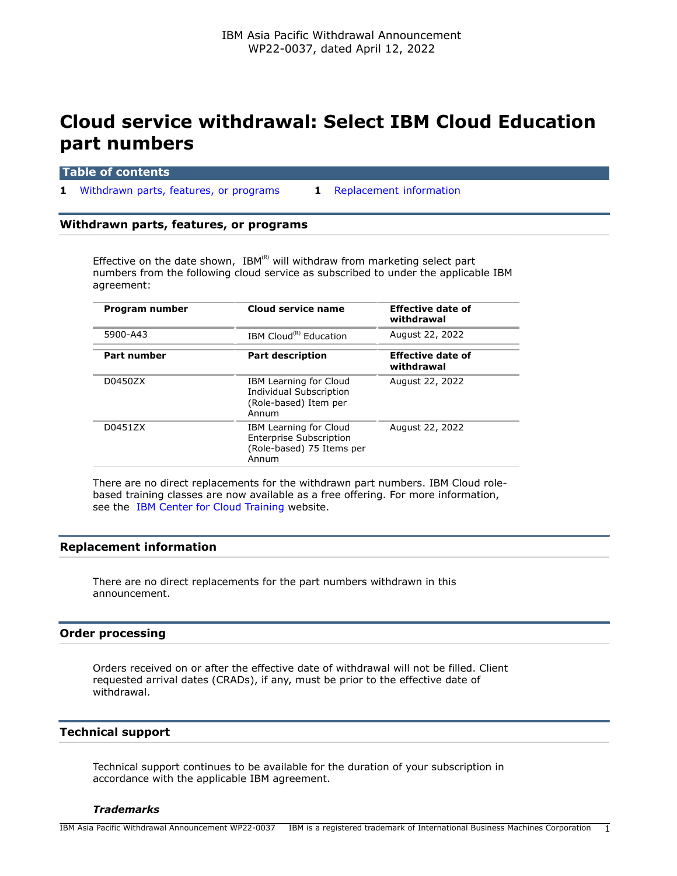# **Cloud service withdrawal: Select IBM Cloud Education part numbers**

|  |  | <b>Table of contents</b> |  |
|--|--|--------------------------|--|
|  |  |                          |  |

**1** [Withdrawn parts, features, or programs](#page-0-0) **1** [Replacement information](#page-0-1)

## <span id="page-0-0"></span>**Withdrawn parts, features, or programs**

Effective on the date shown,  $IBM^{(R)}$  will withdraw from marketing select part numbers from the following cloud service as subscribed to under the applicable IBM agreement:

| Program number     | Cloud service name                                                                             | <b>Effective date of</b><br>withdrawal |
|--------------------|------------------------------------------------------------------------------------------------|----------------------------------------|
| 5900-A43           | IBM Cloud <sup>(R)</sup> Education                                                             | August 22, 2022                        |
| <b>Part number</b> | <b>Part description</b>                                                                        | <b>Effective date of</b><br>withdrawal |
| D0450ZX            | IBM Learning for Cloud<br>Individual Subscription<br>(Role-based) Item per<br>Annum            | August 22, 2022                        |
| D0451ZX            | IBM Learning for Cloud<br><b>Enterprise Subscription</b><br>(Role-based) 75 Items per<br>Annum | August 22, 2022                        |

There are no direct replacements for the withdrawn part numbers. IBM Cloud rolebased training classes are now available as a free offering. For more information, see the [IBM Center for Cloud Training](https://www.ibm.com/training/cloud) website.

## <span id="page-0-1"></span>**Replacement information**

There are no direct replacements for the part numbers withdrawn in this announcement.

## **Order processing**

Orders received on or after the effective date of withdrawal will not be filled. Client requested arrival dates (CRADs), if any, must be prior to the effective date of withdrawal.

## **Technical support**

Technical support continues to be available for the duration of your subscription in accordance with the applicable IBM agreement.

## *Trademarks*